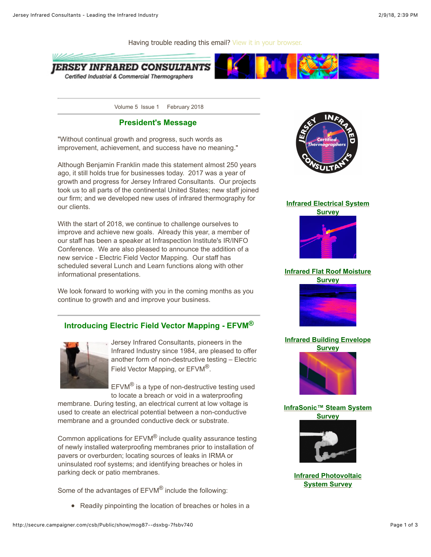ERSEY INFRARED CONSULTANTS Certified Industrial & Commercial Thermographers

Volume 5 Issue 1 February 2018

Having trouble reading this email? [View it in your browser.](http://secure.campaigner.com/csb/Public/show/mog87--dsxbg-7fsbv740#)

# **President's Message**

"Without continual growth and progress, such words as improvement, achievement, and success have no meaning."

Although Benjamin Franklin made this statement almost 250 years ago, it still holds true for businesses today. 2017 was a year of growth and progress for Jersey Infrared Consultants. Our projects took us to all parts of the continental United States; new staff joined our firm; and we developed new uses of infrared thermography for our clients.

With the start of 2018, we continue to challenge ourselves to improve and achieve new goals. Already this year, a member of our staff has been a speaker at Infraspection Institute's IR/INFO Conference. We are also pleased to announce the addition of a new service - Electric Field Vector Mapping. Our staff has scheduled several Lunch and Learn functions along with other informational presentations.

We look forward to working with you in the coming months as you continue to growth and and improve your business.

# **Introducing Electric Field Vector Mapping - EFVM®**



Jersey Infrared Consultants, pioneers in the Infrared Industry since 1984, are pleased to offer another form of non-destructive testing – Electric Field Vector Mapping, or EFVM®.

EFVM® is a type of non-destructive testing used to locate a breach or void in a waterproofing

membrane. During testing, an electrical current at low voltage is used to create an electrical potential between a non-conductive membrane and a grounded conductive deck or substrate.

Common applications for EFVM® include quality assurance testing of newly installed waterproofing membranes prior to installation of pavers or overburden; locating sources of leaks in IRMA or uninsulated roof systems; and identifying breaches or holes in parking deck or patio membranes.

Some of the advantages of EFVM® include the following:

• Readily pinpointing the location of breaches or holes in a



#### **[Infrared Electrical System](http://trk.cp20.com/click/mog87-diohue-7fsbv747/)**





### **[Infrared Flat Roof Moisture](http://trk.cp20.com/click/mog87-diohug-7fsbv749/) Survey**



### **[Infrared Building Envelope](http://trk.cp20.com/click/mog87-diohui-7fsbv741/)**



## **[InfraSonic™ Steam System](http://trk.cp20.com/click/mog87-diohuk-7fsbv743/) Survey**



### **[Infrared Photovoltaic](http://trk.cp20.com/click/mog87-diohum-7fsbv745/) System Survey**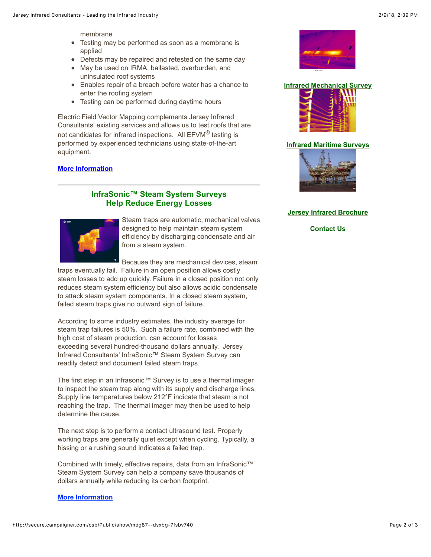membrane

- Testing may be performed as soon as a membrane is applied
- Defects may be repaired and retested on the same day
- May be used on IRMA, ballasted, overburden, and uninsulated roof systems
- Enables repair of a breach before water has a chance to enter the roofing system
- Testing can be performed during daytime hours

Electric Field Vector Mapping complements Jersey Infrared Consultants' existing services and allows us to test roofs that are not candidates for infrared inspections. All EFVM<sup>®</sup> testing is performed by experienced technicians using state-of-the-art equipment.

#### **[More Information](http://trk.cp20.com/click/mog87-diohub-7fsbv744/)**

# **InfraSonic™ Steam System Surveys Help Reduce Energy Losses**



Steam traps are automatic, mechanical valves designed to help maintain steam system efficiency by discharging condensate and air from a steam system.

Because they are mechanical devices, steam

traps eventually fail. Failure in an open position allows costly steam losses to add up quickly. Failure in a closed position not only reduces steam system efficiency but also allows acidic condensate to attack steam system components. In a closed steam system, failed steam traps give no outward sign of failure.

According to some industry estimates, the industry average for steam trap failures is 50%. Such a failure rate, combined with the high cost of steam production, can account for losses exceeding several hundred-thousand dollars annually. Jersey Infrared Consultants' InfraSonic™ Steam System Survey can readily detect and document failed steam traps.

The first step in an Infrasonic™ Survey is to use a thermal imager to inspect the steam trap along with its supply and discharge lines. Supply line temperatures below 212°F indicate that steam is not reaching the trap. The thermal imager may then be used to help determine the cause.

The next step is to perform a contact ultrasound test. Properly working traps are generally quiet except when cycling. Typically, a hissing or a rushing sound indicates a failed trap.

Combined with timely, effective repairs, data from an InfraSonic™ Steam System Survey can help a company save thousands of dollars annually while reducing its carbon footprint.



**[Infrared Mechanical Survey](http://trk.cp20.com/click/mog87-diohuo-7fsbv747/)**



### **[Infrared Maritime Surveys](http://trk.cp20.com/click/mog87-diohuq-7fsbv749/)**



#### **[Jersey Infrared Brochure](http://trk.cp20.com/click/mog87-diohus-7fsbv741/)**

**[Contact Us](http://trk.cp20.com/click/mog87-diohut-7fsbv742/)**

#### **[More Information](http://trk.cp20.com/click/mog87-diohuc-7fsbv745/)**